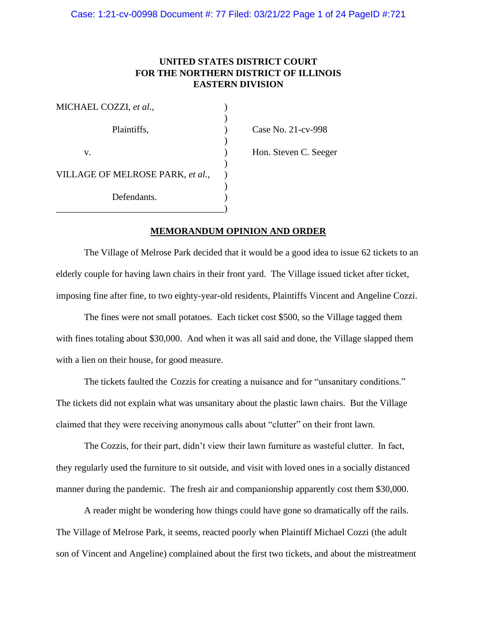# **UNITED STATES DISTRICT COURT FOR THE NORTHERN DISTRICT OF ILLINOIS EASTERN DIVISION**

| MICHAEL COZZI, et al.,           |  |
|----------------------------------|--|
| Plaintiffs,                      |  |
| V.                               |  |
| VILLAGE OF MELROSE PARK, et al., |  |
| Defendants.                      |  |
|                                  |  |

Case No. 21-cv-998 Hon. Steven C. Seeger

## **MEMORANDUM OPINION AND ORDER**

The Village of Melrose Park decided that it would be a good idea to issue 62 tickets to an elderly couple for having lawn chairs in their front yard. The Village issued ticket after ticket, imposing fine after fine, to two eighty-year-old residents, Plaintiffs Vincent and Angeline Cozzi.

The fines were not small potatoes. Each ticket cost \$500, so the Village tagged them with fines totaling about \$30,000. And when it was all said and done, the Village slapped them with a lien on their house, for good measure.

The tickets faulted the Cozzis for creating a nuisance and for "unsanitary conditions." The tickets did not explain what was unsanitary about the plastic lawn chairs. But the Village claimed that they were receiving anonymous calls about "clutter" on their front lawn.

The Cozzis, for their part, didn't view their lawn furniture as wasteful clutter. In fact, they regularly used the furniture to sit outside, and visit with loved ones in a socially distanced manner during the pandemic. The fresh air and companionship apparently cost them \$30,000.

A reader might be wondering how things could have gone so dramatically off the rails. The Village of Melrose Park, it seems, reacted poorly when Plaintiff Michael Cozzi (the adult son of Vincent and Angeline) complained about the first two tickets, and about the mistreatment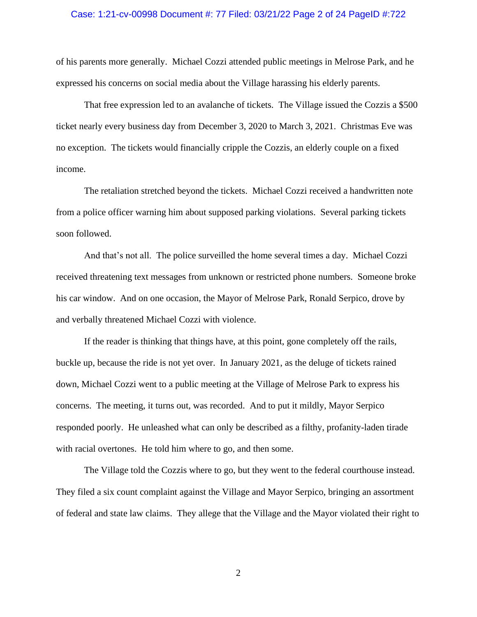### Case: 1:21-cv-00998 Document #: 77 Filed: 03/21/22 Page 2 of 24 PageID #:722

of his parents more generally. Michael Cozzi attended public meetings in Melrose Park, and he expressed his concerns on social media about the Village harassing his elderly parents.

That free expression led to an avalanche of tickets. The Village issued the Cozzis a \$500 ticket nearly every business day from December 3, 2020 to March 3, 2021. Christmas Eve was no exception. The tickets would financially cripple the Cozzis, an elderly couple on a fixed income.

The retaliation stretched beyond the tickets. Michael Cozzi received a handwritten note from a police officer warning him about supposed parking violations. Several parking tickets soon followed.

And that's not all. The police surveilled the home several times a day. Michael Cozzi received threatening text messages from unknown or restricted phone numbers. Someone broke his car window. And on one occasion, the Mayor of Melrose Park, Ronald Serpico, drove by and verbally threatened Michael Cozzi with violence.

If the reader is thinking that things have, at this point, gone completely off the rails, buckle up, because the ride is not yet over. In January 2021, as the deluge of tickets rained down, Michael Cozzi went to a public meeting at the Village of Melrose Park to express his concerns. The meeting, it turns out, was recorded. And to put it mildly, Mayor Serpico responded poorly. He unleashed what can only be described as a filthy, profanity-laden tirade with racial overtones. He told him where to go, and then some.

The Village told the Cozzis where to go, but they went to the federal courthouse instead. They filed a six count complaint against the Village and Mayor Serpico, bringing an assortment of federal and state law claims. They allege that the Village and the Mayor violated their right to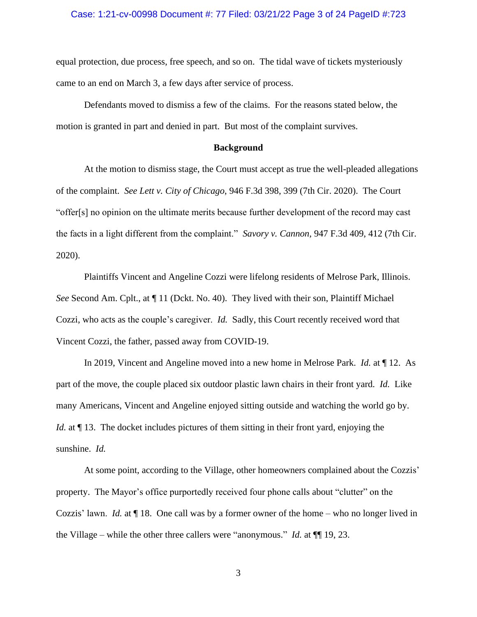#### Case: 1:21-cv-00998 Document #: 77 Filed: 03/21/22 Page 3 of 24 PageID #:723

equal protection, due process, free speech, and so on. The tidal wave of tickets mysteriously came to an end on March 3, a few days after service of process.

Defendants moved to dismiss a few of the claims. For the reasons stated below, the motion is granted in part and denied in part. But most of the complaint survives.

#### **Background**

At the motion to dismiss stage, the Court must accept as true the well-pleaded allegations of the complaint. *See Lett v. City of Chicago*, 946 F.3d 398, 399 (7th Cir. 2020). The Court "offer[s] no opinion on the ultimate merits because further development of the record may cast the facts in a light different from the complaint." *Savory v. Cannon*, 947 F.3d 409, 412 (7th Cir. 2020).

Plaintiffs Vincent and Angeline Cozzi were lifelong residents of Melrose Park, Illinois. *See* Second Am. Cplt., at ¶ 11 (Dckt. No. 40). They lived with their son, Plaintiff Michael Cozzi, who acts as the couple's caregiver. *Id.* Sadly, this Court recently received word that Vincent Cozzi, the father, passed away from COVID-19.

In 2019, Vincent and Angeline moved into a new home in Melrose Park. *Id.* at ¶ 12. As part of the move, the couple placed six outdoor plastic lawn chairs in their front yard. *Id.* Like many Americans, Vincent and Angeline enjoyed sitting outside and watching the world go by. *Id.* at  $\P$  13. The docket includes pictures of them sitting in their front yard, enjoying the sunshine. *Id.*

At some point, according to the Village, other homeowners complained about the Cozzis' property. The Mayor's office purportedly received four phone calls about "clutter" on the Cozzis' lawn. *Id.* at ¶ 18. One call was by a former owner of the home – who no longer lived in the Village – while the other three callers were "anonymous." *Id.* at ¶¶ 19, 23.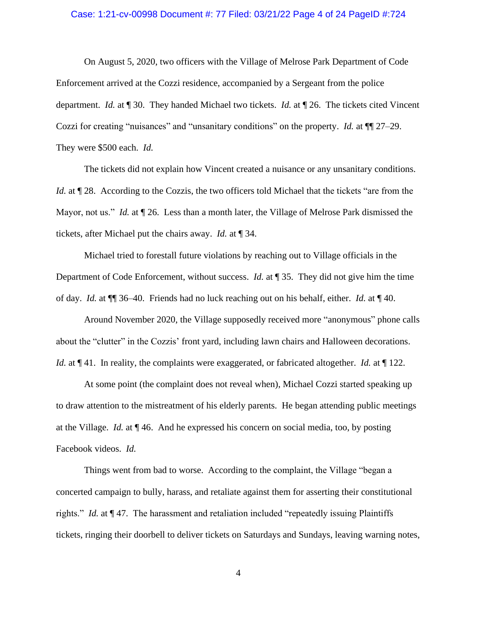#### Case: 1:21-cv-00998 Document #: 77 Filed: 03/21/22 Page 4 of 24 PageID #:724

On August 5, 2020, two officers with the Village of Melrose Park Department of Code Enforcement arrived at the Cozzi residence, accompanied by a Sergeant from the police department. *Id.* at ¶ 30. They handed Michael two tickets. *Id.* at ¶ 26. The tickets cited Vincent Cozzi for creating "nuisances" and "unsanitary conditions" on the property. *Id.* at ¶¶ 27–29. They were \$500 each. *Id.*

The tickets did not explain how Vincent created a nuisance or any unsanitary conditions. *Id.* at  $\P$  28. According to the Cozzis, the two officers told Michael that the tickets "are from the Mayor, not us." *Id.* at ¶ 26. Less than a month later, the Village of Melrose Park dismissed the tickets, after Michael put the chairs away. *Id.* at ¶ 34.

Michael tried to forestall future violations by reaching out to Village officials in the Department of Code Enforcement, without success. *Id.* at ¶ 35. They did not give him the time of day. *Id.* at ¶¶ 36–40. Friends had no luck reaching out on his behalf, either. *Id.* at ¶ 40.

Around November 2020, the Village supposedly received more "anonymous" phone calls about the "clutter" in the Cozzis' front yard, including lawn chairs and Halloween decorations. *Id.* at  $\P$  41. In reality, the complaints were exaggerated, or fabricated altogether. *Id.* at  $\P$  122.

At some point (the complaint does not reveal when), Michael Cozzi started speaking up to draw attention to the mistreatment of his elderly parents. He began attending public meetings at the Village. *Id.* at ¶ 46. And he expressed his concern on social media, too, by posting Facebook videos. *Id.*

Things went from bad to worse. According to the complaint, the Village "began a concerted campaign to bully, harass, and retaliate against them for asserting their constitutional rights." *Id.* at ¶ 47. The harassment and retaliation included "repeatedly issuing Plaintiffs tickets, ringing their doorbell to deliver tickets on Saturdays and Sundays, leaving warning notes,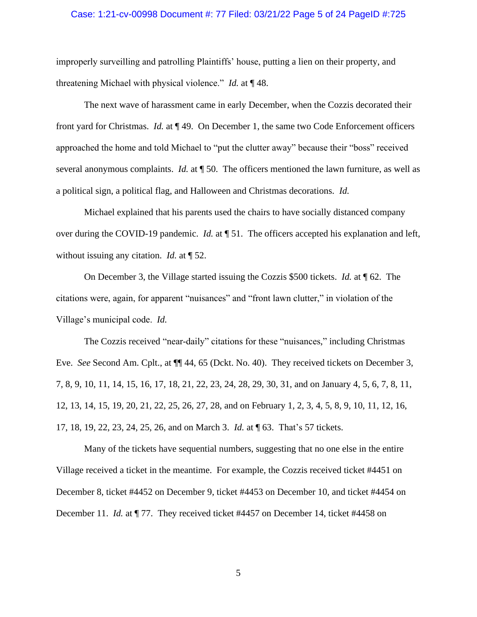#### Case: 1:21-cv-00998 Document #: 77 Filed: 03/21/22 Page 5 of 24 PageID #:725

improperly surveilling and patrolling Plaintiffs' house, putting a lien on their property, and threatening Michael with physical violence." *Id.* at ¶ 48.

The next wave of harassment came in early December, when the Cozzis decorated their front yard for Christmas. *Id.* at ¶ 49. On December 1, the same two Code Enforcement officers approached the home and told Michael to "put the clutter away" because their "boss" received several anonymous complaints. *Id.* at ¶ 50. The officers mentioned the lawn furniture, as well as a political sign, a political flag, and Halloween and Christmas decorations. *Id.* 

Michael explained that his parents used the chairs to have socially distanced company over during the COVID-19 pandemic. *Id.* at ¶ 51. The officers accepted his explanation and left, without issuing any citation. *Id.* at ¶ 52.

On December 3, the Village started issuing the Cozzis \$500 tickets. *Id.* at ¶ 62. The citations were, again, for apparent "nuisances" and "front lawn clutter," in violation of the Village's municipal code. *Id.*

The Cozzis received "near-daily" citations for these "nuisances," including Christmas Eve. *See* Second Am. Cplt., at ¶¶ 44, 65 (Dckt. No. 40). They received tickets on December 3, 7, 8, 9, 10, 11, 14, 15, 16, 17, 18, 21, 22, 23, 24, 28, 29, 30, 31, and on January 4, 5, 6, 7, 8, 11, 12, 13, 14, 15, 19, 20, 21, 22, 25, 26, 27, 28, and on February 1, 2, 3, 4, 5, 8, 9, 10, 11, 12, 16, 17, 18, 19, 22, 23, 24, 25, 26, and on March 3. *Id.* at ¶ 63. That's 57 tickets.

Many of the tickets have sequential numbers, suggesting that no one else in the entire Village received a ticket in the meantime. For example, the Cozzis received ticket #4451 on December 8, ticket #4452 on December 9, ticket #4453 on December 10, and ticket #4454 on December 11. *Id.* at  $\P$  77. They received ticket #4457 on December 14, ticket #4458 on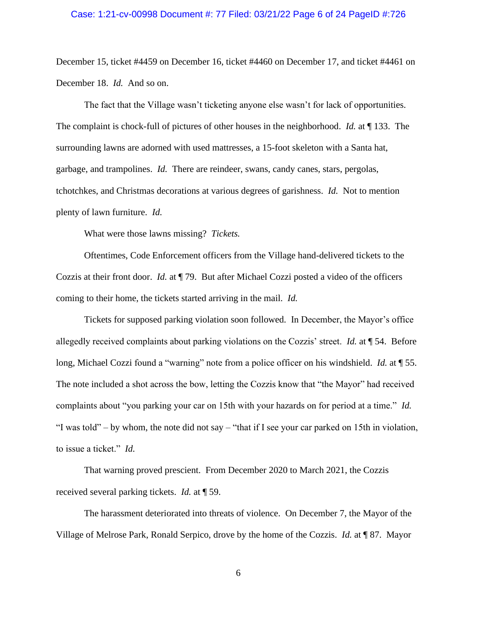#### Case: 1:21-cv-00998 Document #: 77 Filed: 03/21/22 Page 6 of 24 PageID #:726

December 15, ticket #4459 on December 16, ticket #4460 on December 17, and ticket #4461 on December 18. *Id.* And so on.

The fact that the Village wasn't ticketing anyone else wasn't for lack of opportunities. The complaint is chock-full of pictures of other houses in the neighborhood. *Id.* at ¶ 133. The surrounding lawns are adorned with used mattresses, a 15-foot skeleton with a Santa hat, garbage, and trampolines. *Id.* There are reindeer, swans, candy canes, stars, pergolas, tchotchkes, and Christmas decorations at various degrees of garishness. *Id.* Not to mention plenty of lawn furniture. *Id.* 

What were those lawns missing? *Tickets.* 

Oftentimes, Code Enforcement officers from the Village hand-delivered tickets to the Cozzis at their front door. *Id.* at ¶ 79. But after Michael Cozzi posted a video of the officers coming to their home, the tickets started arriving in the mail. *Id.*

Tickets for supposed parking violation soon followed. In December, the Mayor's office allegedly received complaints about parking violations on the Cozzis' street. *Id.* at ¶ 54. Before long, Michael Cozzi found a "warning" note from a police officer on his windshield. *Id.* at ¶ 55. The note included a shot across the bow, letting the Cozzis know that "the Mayor" had received complaints about "you parking your car on 15th with your hazards on for period at a time." *Id.* "I was told" – by whom, the note did not say – "that if I see your car parked on 15th in violation, to issue a ticket." *Id.* 

That warning proved prescient. From December 2020 to March 2021, the Cozzis received several parking tickets. *Id.* at ¶ 59.

The harassment deteriorated into threats of violence. On December 7, the Mayor of the Village of Melrose Park, Ronald Serpico, drove by the home of the Cozzis. *Id.* at ¶ 87. Mayor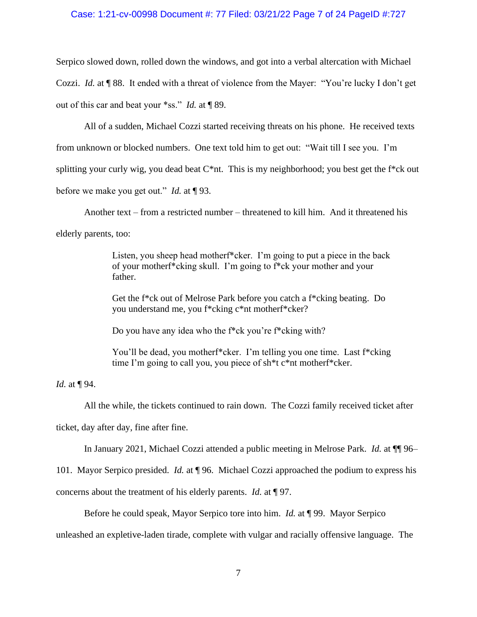### Case: 1:21-cv-00998 Document #: 77 Filed: 03/21/22 Page 7 of 24 PageID #:727

Serpico slowed down, rolled down the windows, and got into a verbal altercation with Michael Cozzi. *Id.* at ¶ 88. It ended with a threat of violence from the Mayer: "You're lucky I don't get out of this car and beat your \*ss." *Id.* at ¶ 89.

All of a sudden, Michael Cozzi started receiving threats on his phone. He received texts from unknown or blocked numbers. One text told him to get out: "Wait till I see you. I'm splitting your curly wig, you dead beat  $C^*$ nt. This is my neighborhood; you best get the f<sup>\*</sup>ck out before we make you get out." *Id.* at ¶ 93.

Another text – from a restricted number – threatened to kill him. And it threatened his elderly parents, too:

> Listen, you sheep head mother<sup>\*</sup>cker. I'm going to put a piece in the back of your motherf\*cking skull. I'm going to f\*ck your mother and your father.

Get the f\*ck out of Melrose Park before you catch a f\*cking beating. Do you understand me, you f\*cking c\*nt motherf\*cker?

Do you have any idea who the f\*ck you're f\*cking with?

You'll be dead, you motherf\*cker. I'm telling you one time. Last f\*cking time I'm going to call you, you piece of sh\*t c\*nt motherf\*cker.

*Id.* at ¶ 94.

All the while, the tickets continued to rain down. The Cozzi family received ticket after

ticket, day after day, fine after fine.

In January 2021, Michael Cozzi attended a public meeting in Melrose Park. *Id.* at ¶¶ 96–

101. Mayor Serpico presided. *Id.* at ¶ 96. Michael Cozzi approached the podium to express his

concerns about the treatment of his elderly parents. *Id.* at ¶ 97.

Before he could speak, Mayor Serpico tore into him. *Id.* at ¶ 99. Mayor Serpico

unleashed an expletive-laden tirade, complete with vulgar and racially offensive language. The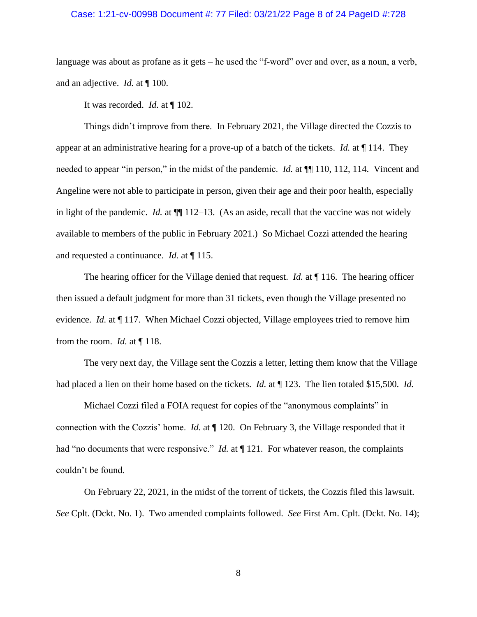### Case: 1:21-cv-00998 Document #: 77 Filed: 03/21/22 Page 8 of 24 PageID #:728

language was about as profane as it gets – he used the "f-word" over and over, as a noun, a verb, and an adjective. *Id.* at ¶ 100.

It was recorded. *Id.* at ¶ 102.

Things didn't improve from there. In February 2021, the Village directed the Cozzis to appear at an administrative hearing for a prove-up of a batch of the tickets. *Id.* at ¶ 114. They needed to appear "in person," in the midst of the pandemic. *Id.* at  $\P$ [110, 112, 114. Vincent and Angeline were not able to participate in person, given their age and their poor health, especially in light of the pandemic. *Id.* at  $\P$  112–13. (As an aside, recall that the vaccine was not widely available to members of the public in February 2021.) So Michael Cozzi attended the hearing and requested a continuance. *Id.* at ¶ 115.

The hearing officer for the Village denied that request. *Id.* at ¶ 116. The hearing officer then issued a default judgment for more than 31 tickets, even though the Village presented no evidence. *Id.* at  $\P$  117. When Michael Cozzi objected, Village employees tried to remove him from the room. *Id.* at ¶ 118.

The very next day, the Village sent the Cozzis a letter, letting them know that the Village had placed a lien on their home based on the tickets. *Id.* at ¶ 123. The lien totaled \$15,500. *Id.*

Michael Cozzi filed a FOIA request for copies of the "anonymous complaints" in connection with the Cozzis' home. *Id.* at ¶ 120. On February 3, the Village responded that it had "no documents that were responsive." *Id.* at  $\P$  121. For whatever reason, the complaints couldn't be found.

On February 22, 2021, in the midst of the torrent of tickets, the Cozzis filed this lawsuit. *See* Cplt. (Dckt. No. 1). Two amended complaints followed. *See* First Am. Cplt. (Dckt. No. 14);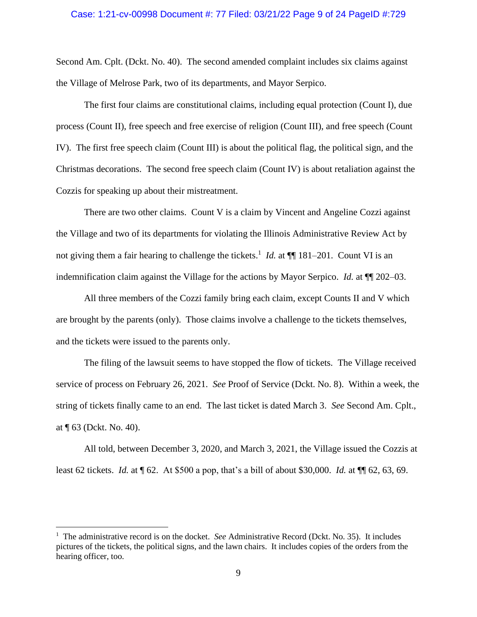#### Case: 1:21-cv-00998 Document #: 77 Filed: 03/21/22 Page 9 of 24 PageID #:729

Second Am. Cplt. (Dckt. No. 40). The second amended complaint includes six claims against the Village of Melrose Park, two of its departments, and Mayor Serpico.

The first four claims are constitutional claims, including equal protection (Count I), due process (Count II), free speech and free exercise of religion (Count III), and free speech (Count IV). The first free speech claim (Count III) is about the political flag, the political sign, and the Christmas decorations. The second free speech claim (Count IV) is about retaliation against the Cozzis for speaking up about their mistreatment.

There are two other claims. Count V is a claim by Vincent and Angeline Cozzi against the Village and two of its departments for violating the Illinois Administrative Review Act by not giving them a fair hearing to challenge the tickets.<sup>1</sup> *Id.* at  $\P$  181–201. Count VI is an indemnification claim against the Village for the actions by Mayor Serpico. *Id.* at ¶¶ 202–03.

All three members of the Cozzi family bring each claim, except Counts II and V which are brought by the parents (only). Those claims involve a challenge to the tickets themselves, and the tickets were issued to the parents only.

The filing of the lawsuit seems to have stopped the flow of tickets. The Village received service of process on February 26, 2021. *See* Proof of Service (Dckt. No. 8). Within a week, the string of tickets finally came to an end. The last ticket is dated March 3. *See* Second Am. Cplt., at ¶ 63 (Dckt. No. 40).

All told, between December 3, 2020, and March 3, 2021, the Village issued the Cozzis at least 62 tickets. *Id.* at ¶ 62. At \$500 a pop, that's a bill of about \$30,000. *Id.* at ¶¶ 62, 63, 69.

<sup>&</sup>lt;sup>1</sup> The administrative record is on the docket. *See* Administrative Record (Dckt. No. 35). It includes pictures of the tickets, the political signs, and the lawn chairs. It includes copies of the orders from the hearing officer, too.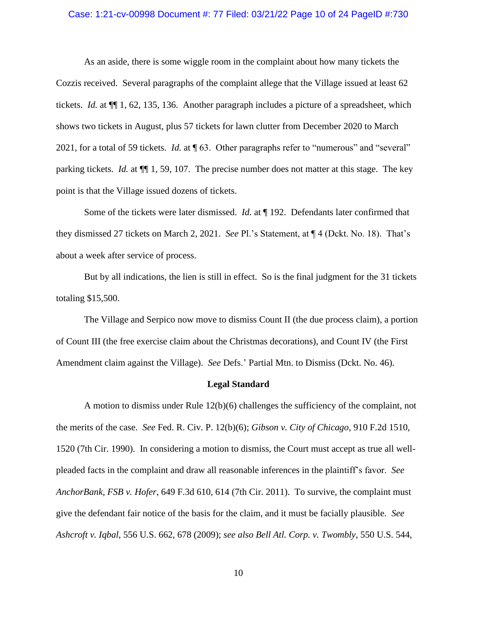### Case: 1:21-cv-00998 Document #: 77 Filed: 03/21/22 Page 10 of 24 PageID #:730

As an aside, there is some wiggle room in the complaint about how many tickets the Cozzis received. Several paragraphs of the complaint allege that the Village issued at least 62 tickets. *Id.* at ¶¶ 1, 62, 135, 136. Another paragraph includes a picture of a spreadsheet, which shows two tickets in August, plus 57 tickets for lawn clutter from December 2020 to March 2021, for a total of 59 tickets. *Id.* at ¶ 63. Other paragraphs refer to "numerous" and "several" parking tickets. *Id.* at ¶¶ 1, 59, 107. The precise number does not matter at this stage. The key point is that the Village issued dozens of tickets.

Some of the tickets were later dismissed. *Id.* at ¶ 192. Defendants later confirmed that they dismissed 27 tickets on March 2, 2021. *See* Pl.'s Statement, at ¶ 4 (Dckt. No. 18). That's about a week after service of process.

But by all indications, the lien is still in effect. So is the final judgment for the 31 tickets totaling \$15,500.

The Village and Serpico now move to dismiss Count II (the due process claim), a portion of Count III (the free exercise claim about the Christmas decorations), and Count IV (the First Amendment claim against the Village). *See* Defs.' Partial Mtn. to Dismiss (Dckt. No. 46).

#### **Legal Standard**

A motion to dismiss under Rule 12(b)(6) challenges the sufficiency of the complaint, not the merits of the case. *See* Fed. R. Civ. P. 12(b)(6); *Gibson v. City of Chicago*, 910 F.2d 1510, 1520 (7th Cir. 1990). In considering a motion to dismiss, the Court must accept as true all wellpleaded facts in the complaint and draw all reasonable inferences in the plaintiff's favor. *See AnchorBank, FSB v. Hofer*, 649 F.3d 610, 614 (7th Cir. 2011). To survive, the complaint must give the defendant fair notice of the basis for the claim, and it must be facially plausible. *See Ashcroft v. Iqbal*, 556 U.S. 662, 678 (2009); *see also Bell Atl. Corp. v. Twombly*, 550 U.S. 544,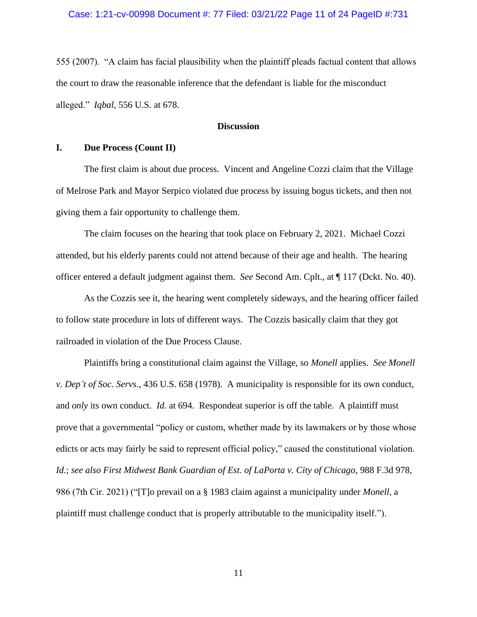## Case: 1:21-cv-00998 Document #: 77 Filed: 03/21/22 Page 11 of 24 PageID #:731

555 (2007). "A claim has facial plausibility when the plaintiff pleads factual content that allows the court to draw the reasonable inference that the defendant is liable for the misconduct alleged." *Iqbal*, 556 U.S. at 678.

### **Discussion**

## **I. Due Process (Count II)**

The first claim is about due process. Vincent and Angeline Cozzi claim that the Village of Melrose Park and Mayor Serpico violated due process by issuing bogus tickets, and then not giving them a fair opportunity to challenge them.

The claim focuses on the hearing that took place on February 2, 2021. Michael Cozzi attended, but his elderly parents could not attend because of their age and health. The hearing officer entered a default judgment against them. *See* Second Am. Cplt., at ¶ 117 (Dckt. No. 40).

As the Cozzis see it, the hearing went completely sideways, and the hearing officer failed to follow state procedure in lots of different ways. The Cozzis basically claim that they got railroaded in violation of the Due Process Clause.

Plaintiffs bring a constitutional claim against the Village, so *Monell* applies. *See Monell v. Dep't of Soc. Servs.*, 436 U.S. 658 (1978). A municipality is responsible for its own conduct, and *only* its own conduct. *Id.* at 694. Respondeat superior is off the table. A plaintiff must prove that a governmental "policy or custom, whether made by its lawmakers or by those whose edicts or acts may fairly be said to represent official policy," caused the constitutional violation. *Id.*; *see also First Midwest Bank Guardian of Est. of LaPorta v. City of Chicago*, 988 F.3d 978, 986 (7th Cir. 2021) ("[T]o prevail on a § [1983](https://1.next.westlaw.com/Link/Document/FullText?findType=L&pubNum=1000546&cite=42USCAS1983&originatingDoc=I38a247a0760711eb91b78705c7189b3d&refType=LQ&originationContext=document&transitionType=DocumentItem&ppcid=05b2233e981541c3b49b36fa9edaeb6e&contextData=(sc.Search)) claim against a municipality under *[Monell](https://1.next.westlaw.com/Link/Document/FullText?findType=Y&serNum=1978114250&pubNum=0000780&originatingDoc=I38a247a0760711eb91b78705c7189b3d&refType=RP&originationContext=document&transitionType=DocumentItem&ppcid=05b2233e981541c3b49b36fa9edaeb6e&contextData=(sc.Search))*, a plaintiff must challenge conduct that is properly attributable to the municipality itself.").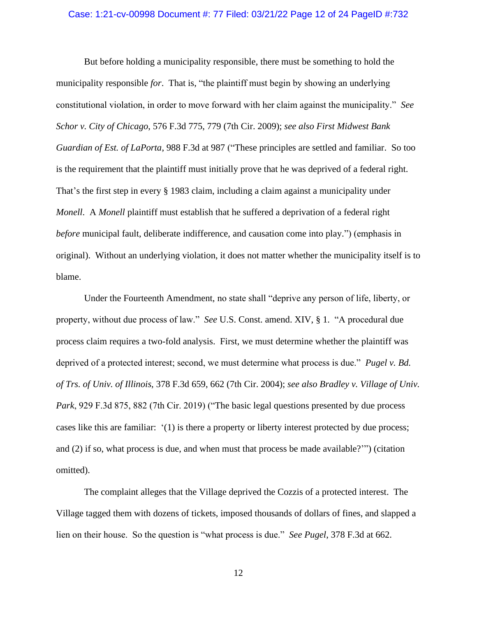#### Case: 1:21-cv-00998 Document #: 77 Filed: 03/21/22 Page 12 of 24 PageID #:732

But before holding a municipality responsible, there must be something to hold the municipality responsible *for*. That is, "the plaintiff must begin by showing an underlying constitutional violation, in order to move forward with her claim against the municipality." *See Schor v. City of Chicago*, 576 F.3d 775, 779 (7th Cir. 2009); *see also First Midwest Bank Guardian of Est. of LaPorta*, 988 F.3d at 987 ("These principles are settled and familiar. So too is the requirement that the plaintiff must initially prove that he was deprived of a federal right. That's the first step in every § [1983](https://1.next.westlaw.com/Link/Document/FullText?findType=L&pubNum=1000546&cite=42USCAS1983&originatingDoc=I38a247a0760711eb91b78705c7189b3d&refType=LQ&originationContext=document&transitionType=DocumentItem&ppcid=0409341f34cd49ef8ec62e7cb227bda9&contextData=(sc.Search)) claim, including a claim against a municipality under *[Monell](https://1.next.westlaw.com/Link/Document/FullText?findType=Y&serNum=1978114250&pubNum=0000780&originatingDoc=I38a247a0760711eb91b78705c7189b3d&refType=RP&originationContext=document&transitionType=DocumentItem&ppcid=0409341f34cd49ef8ec62e7cb227bda9&contextData=(sc.Search))*. A *[Monell](https://1.next.westlaw.com/Link/Document/FullText?findType=Y&serNum=1978114250&pubNum=0000780&originatingDoc=I38a247a0760711eb91b78705c7189b3d&refType=RP&originationContext=document&transitionType=DocumentItem&ppcid=0409341f34cd49ef8ec62e7cb227bda9&contextData=(sc.Search))* plaintiff must establish that he suffered a deprivation of a federal right *before* municipal fault, deliberate indifference, and causation come into play.") (emphasis in original). Without an underlying violation, it does not matter whether the municipality itself is to blame.

Under the Fourteenth Amendment, no state shall "deprive any person of life, liberty, or property, without due process of law." *See* U.S. Const. amend. XIV, § 1. "A procedural due process claim requires a two-fold analysis. First, we must determine whether the plaintiff was deprived of a protected interest; second, we must determine what process is due." *[Pugel](https://1.next.westlaw.com/Link/Document/FullText?findType=Y&serNum=2004821192&pubNum=0000506&originatingDoc=I7ab8405f41ac11dfaad3d35f6227d4a8&refType=RP&fi=co_pp_sp_506_662&originationContext=document&transitionType=DocumentItem&ppcid=e472435cd2c54111b593ded732d208a2&contextData=(sc.UserEnteredCitation)#co_pp_sp_506_662) v. Bd. of Trs. of Univ. of [Illinois](https://1.next.westlaw.com/Link/Document/FullText?findType=Y&serNum=2004821192&pubNum=0000506&originatingDoc=I7ab8405f41ac11dfaad3d35f6227d4a8&refType=RP&fi=co_pp_sp_506_662&originationContext=document&transitionType=DocumentItem&ppcid=e472435cd2c54111b593ded732d208a2&contextData=(sc.UserEnteredCitation)#co_pp_sp_506_662)*, 378 F.3d 659, 662 (7th Cir. 2004); *see also Bradley v. Village of Univ. Park*, 929 F.3d 875, 882 (7th Cir. 2019) ("The basic legal questions presented by due process cases like this are familiar: '(1) is there a property or liberty interest protected by due process; and (2) if so, what process is due, and when must that process be made available?'") (citation omitted).

The complaint alleges that the Village deprived the Cozzis of a protected interest. The Village tagged them with dozens of tickets, imposed thousands of dollars of fines, and slapped a lien on their house. So the question is "what process is due." *See [Pugel](https://1.next.westlaw.com/Link/Document/FullText?findType=Y&serNum=2004821192&pubNum=0000506&originatingDoc=I7ab8405f41ac11dfaad3d35f6227d4a8&refType=RP&fi=co_pp_sp_506_662&originationContext=document&transitionType=DocumentItem&ppcid=e472435cd2c54111b593ded732d208a2&contextData=(sc.UserEnteredCitation)#co_pp_sp_506_662)*, 378 F.3d at 662.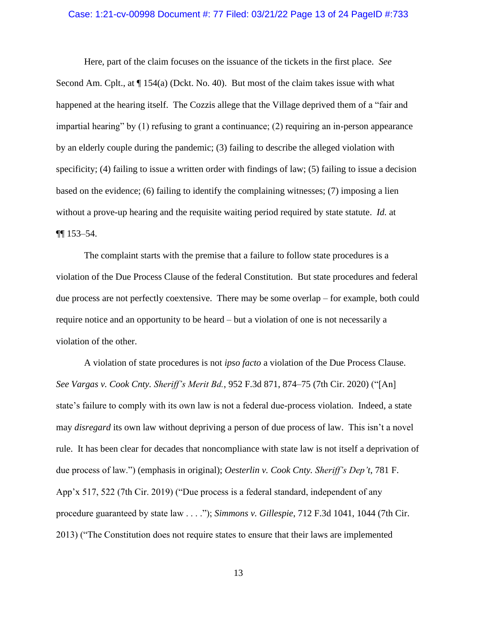### Case: 1:21-cv-00998 Document #: 77 Filed: 03/21/22 Page 13 of 24 PageID #:733

Here, part of the claim focuses on the issuance of the tickets in the first place. *See*  Second Am. Cplt., at  $\P$  154(a) (Dckt. No. 40). But most of the claim takes issue with what happened at the hearing itself. The Cozzis allege that the Village deprived them of a "fair and impartial hearing" by (1) refusing to grant a continuance; (2) requiring an in-person appearance by an elderly couple during the pandemic; (3) failing to describe the alleged violation with specificity; (4) failing to issue a written order with findings of law; (5) failing to issue a decision based on the evidence; (6) failing to identify the complaining witnesses; (7) imposing a lien without a prove-up hearing and the requisite waiting period required by state statute. *Id.* at ¶¶ 153–54.

The complaint starts with the premise that a failure to follow state procedures is a violation of the Due Process Clause of the federal Constitution. But state procedures and federal due process are not perfectly coextensive. There may be some overlap – for example, both could require notice and an opportunity to be heard – but a violation of one is not necessarily a violation of the other.

A violation of state procedures is not *ipso facto* a violation of the Due Process Clause. *See Vargas v. Cook Cnty. Sheriff's Merit Bd.*, 952 F.3d 871, 874–75 (7th Cir. 2020) ("[An] state's failure to comply with its own law is not a federal due-process violation. Indeed, a state may *disregard* its own law without depriving a person of due process of law. This isn't a novel rule. It has been clear for decades that noncompliance with state law is not itself a deprivation of due process of law.") (emphasis in original); *Oesterlin v. Cook Cnty. Sheriff's Dep't*, 781 F. App'x 517, 522 (7th Cir. 2019) ("Due process is a federal standard, independent of any procedure guaranteed by state law . . . ."); *Simmons v. Gillespie*, 712 F.3d 1041, 1044 (7th Cir. 2013) ("The Constitution does not require states to ensure that their laws are implemented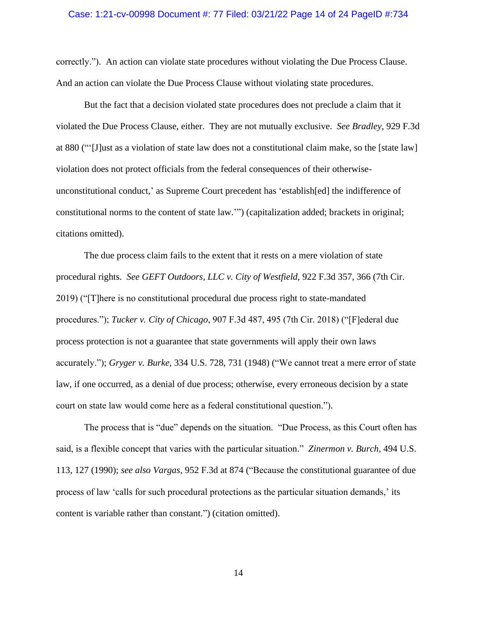#### Case: 1:21-cv-00998 Document #: 77 Filed: 03/21/22 Page 14 of 24 PageID #:734

correctly."). An action can violate state procedures without violating the Due Process Clause. And an action can violate the Due Process Clause without violating state procedures.

But the fact that a decision violated state procedures does not preclude a claim that it violated the Due Process Clause, either. They are not mutually exclusive. *See Bradley*, 929 F.3d at 880 ("'[J]ust as a violation of state law does not a constitutional claim make, so the [state law] violation does not protect officials from the federal consequences of their otherwiseunconstitutional conduct,' as Supreme Court precedent has 'establish[ed] the indifference of constitutional norms to the content of state law.'") (capitalization added; brackets in original; citations omitted).

The due process claim fails to the extent that it rests on a mere violation of state procedural rights. *See GEFT Outdoors, LLC v. City of Westfield*, 922 F.3d 357, 366 (7th Cir. 2019) ("[T]here is no constitutional procedural due process right to state-mandated procedures."); *Tucker v. City of Chicago*, 907 F.3d 487, 495 (7th Cir. 2018) ("[F]ederal due process protection is not a guarantee that state governments will apply their own laws accurately."); *Gryger v. Burke*, 334 U.S. 728, 731 (1948) ("We cannot treat a mere error of state law, if one occurred, as a denial of due process; otherwise, every erroneous decision by a state court on state law would come here as a federal constitutional question.").

The process that is "due" depends on the situation. "Due Process, as this Court often has said, is a flexible concept that varies with the particular situation." *Zinermon v. Burch*, 494 U.S. 113, 127 (1990); *see also Vargas*, 952 F.3d at 874 ("Because the constitutional guarantee of due process of law 'calls for such procedural protections as the particular situation demands,' its content is variable rather than constant.") (citation omitted).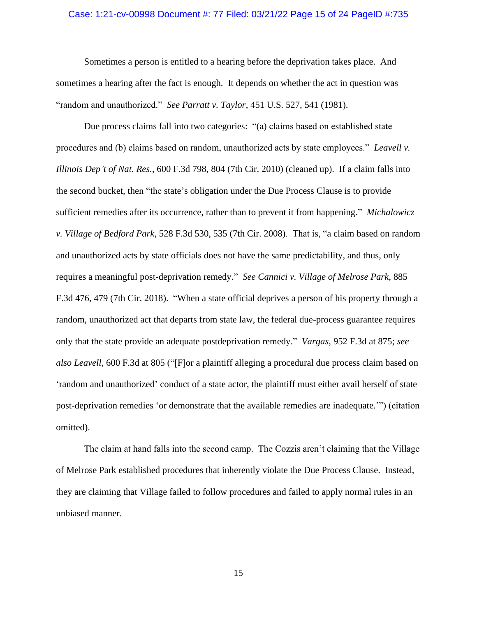### Case: 1:21-cv-00998 Document #: 77 Filed: 03/21/22 Page 15 of 24 PageID #:735

Sometimes a person is entitled to a hearing before the deprivation takes place. And sometimes a hearing after the fact is enough. It depends on whether the act in question was "random and unauthorized." *See Parratt v. Taylor*, 451 U.S. 527, 541 (1981).

Due process claims fall into two categories: "(a) claims based on established state procedures and (b) claims based on random, unauthorized acts by state employees." *Leavell v. Illinois Dep't of Nat. Res.*, 600 F.3d 798, 804 (7th Cir. 2010) (cleaned up). If a claim falls into the second bucket, then "the state's obligation under the Due Process Clause is to provide sufficient remedies after its occurrence, rather than to prevent it from happening." *Michalowicz v. Village of Bedford Park*, 528 F.3d 530, 535 (7th Cir. 2008). That is, "a claim based on random and unauthorized acts by state officials does not have the same predictability, and thus, only requires a meaningful post-deprivation remedy." *See Cannici v. Village of Melrose Park*, 885 F.3d 476, 479 (7th Cir. 2018). "When a state official deprives a person of his property through a random, unauthorized act that departs from state law, the federal due-process guarantee requires only that the state provide an adequate postdeprivation remedy." *Vargas*, 952 F.3d at 875; *see also Leavell*, 600 F.3d at 805 ("[F]or a plaintiff alleging a procedural due process claim based on 'random and unauthorized' conduct of a state actor, the plaintiff must either avail herself of state post-deprivation remedies 'or demonstrate that the available remedies are inadequate.'") (citation omitted).

The claim at hand falls into the second camp. The Cozzis aren't claiming that the Village of Melrose Park established procedures that inherently violate the Due Process Clause. Instead, they are claiming that Village failed to follow procedures and failed to apply normal rules in an unbiased manner.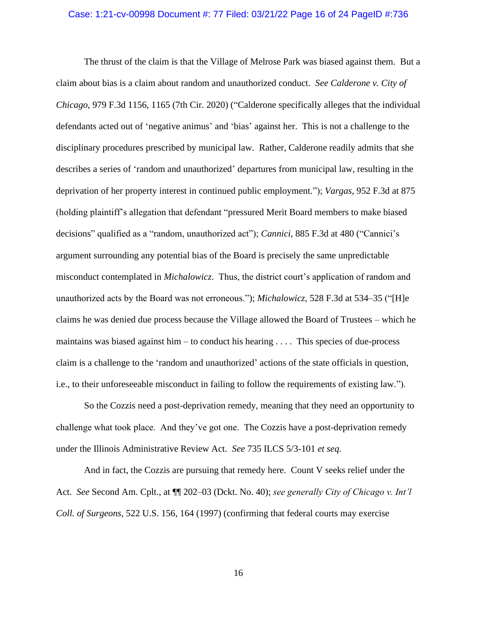#### Case: 1:21-cv-00998 Document #: 77 Filed: 03/21/22 Page 16 of 24 PageID #:736

The thrust of the claim is that the Village of Melrose Park was biased against them. But a claim about bias is a claim about random and unauthorized conduct. *See Calderone v. City of Chicago*, 979 F.3d 1156, 1165 (7th Cir. 2020) ("Calderone specifically alleges that the individual defendants acted out of 'negative animus' and 'bias' against her. This is not a challenge to the disciplinary procedures prescribed by municipal law. Rather, Calderone readily admits that she describes a series of 'random and unauthorized' departures from municipal law, resulting in the deprivation of her property interest in continued public employment."); *Vargas*, 952 F.3d at 875 (holding plaintiff's allegation that defendant "pressured Merit Board members to make biased decisions" qualified as a "random, unauthorized act"); *Cannici*, 885 F.3d at 480 ("Cannici's argument surrounding any potential bias of the Board is precisely the same unpredictable misconduct contemplated in *[Michalowicz](https://1.next.westlaw.com/Link/Document/FullText?findType=Y&serNum=2016289549&pubNum=0000506&originatingDoc=I309d6ef028ac11e8b25db53553f40f1b&refType=RP&originationContext=document&transitionType=DocumentItem&ppcid=bd1b9f56ef674c579533baa2c1958cbe&contextData=(sc.UserEnteredCitation))*. Thus, the district court's application of random and unauthorized acts by the Board was not erroneous."); *Michalowicz*, 528 F.3d at 534–35 ("[H]e claims he was denied due process because the Village allowed the Board of Trustees – which he maintains was biased against him – to conduct his hearing  $\dots$ . This species of due-process claim is a challenge to the 'random and unauthorized' actions of the state officials in question, i.e., to their unforeseeable misconduct in failing to follow the requirements of existing law.").

So the Cozzis need a post-deprivation remedy, meaning that they need an opportunity to challenge what took place. And they've got one. The Cozzis have a post-deprivation remedy under the Illinois Administrative Review Act. *See* 735 ILCS 5/3-101 *et seq.*

And in fact, the Cozzis are pursuing that remedy here. Count V seeks relief under the Act. *See* Second Am. Cplt., at ¶¶ 202–03 (Dckt. No. 40); *see generally City of Chicago v. Int'l Coll. of Surgeons*, 522 U.S. 156, 164 (1997) (confirming that federal courts may exercise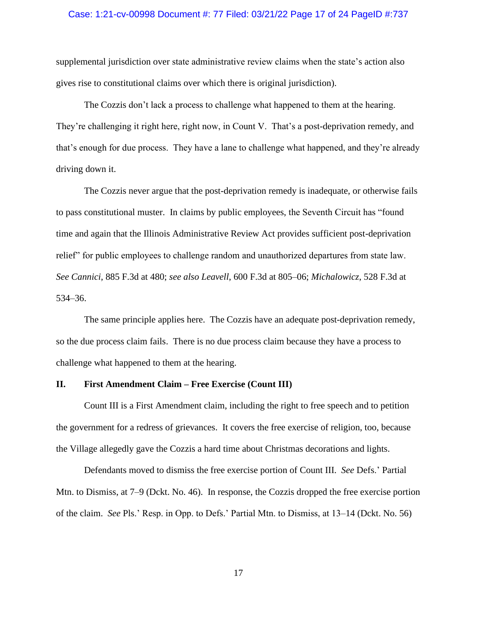### Case: 1:21-cv-00998 Document #: 77 Filed: 03/21/22 Page 17 of 24 PageID #:737

supplemental jurisdiction over state administrative review claims when the state's action also gives rise to constitutional claims over which there is original jurisdiction).

The Cozzis don't lack a process to challenge what happened to them at the hearing. They're challenging it right here, right now, in Count V. That's a post-deprivation remedy, and that's enough for due process. They have a lane to challenge what happened, and they're already driving down it.

The Cozzis never argue that the post-deprivation remedy is inadequate, or otherwise fails to pass constitutional muster. In claims by public employees, the Seventh Circuit has "found time and again that the Illinois Administrative Review Act provides sufficient post-deprivation relief" for public employees to challenge random and unauthorized departures from state law. *See Cannici*, 885 F.3d at 480; *see also Leavell*, 600 F.3d at 805–06; *Michalowicz*, 528 F.3d at 534–36.

The same principle applies here. The Cozzis have an adequate post-deprivation remedy, so the due process claim fails. There is no due process claim because they have a process to challenge what happened to them at the hearing.

### **II. First Amendment Claim – Free Exercise (Count III)**

Count III is a First Amendment claim, including the right to free speech and to petition the government for a redress of grievances. It covers the free exercise of religion, too, because the Village allegedly gave the Cozzis a hard time about Christmas decorations and lights.

Defendants moved to dismiss the free exercise portion of Count III. *See* Defs.' Partial Mtn. to Dismiss, at 7–9 (Dckt. No. 46). In response, the Cozzis dropped the free exercise portion of the claim. *See* Pls.' Resp. in Opp. to Defs.' Partial Mtn. to Dismiss, at 13–14 (Dckt. No. 56)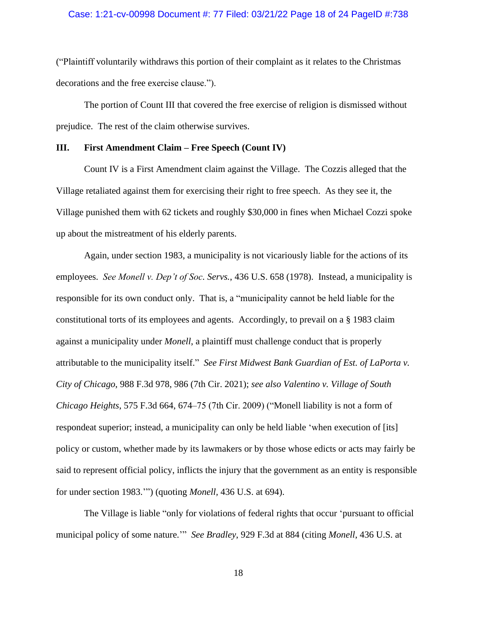### Case: 1:21-cv-00998 Document #: 77 Filed: 03/21/22 Page 18 of 24 PageID #:738

("Plaintiff voluntarily withdraws this portion of their complaint as it relates to the Christmas decorations and the free exercise clause.").

The portion of Count III that covered the free exercise of religion is dismissed without prejudice. The rest of the claim otherwise survives.

### **III. First Amendment Claim – Free Speech (Count IV)**

Count IV is a First Amendment claim against the Village. The Cozzis alleged that the Village retaliated against them for exercising their right to free speech. As they see it, the Village punished them with 62 tickets and roughly \$30,000 in fines when Michael Cozzi spoke up about the mistreatment of his elderly parents.

Again, under section 1983, a municipality is not vicariously liable for the actions of its employees. *See Monell v. Dep't of Soc. Servs.*, 436 U.S. 658 (1978). Instead, a municipality is responsible for its own conduct only. That is, a "municipality cannot be held liable for the constitutional torts of its employees and agents. Accordingly, to prevail on a § 1983 claim against a municipality under *Monell*, a plaintiff must challenge conduct that is properly attributable to the municipality itself." *See First Midwest Bank Guardian of Est. of LaPorta v. City of Chicago*, 988 F.3d 978, 986 (7th Cir. 2021); *see also Valentino v. Village of South Chicago Heights*, 575 F.3d 664, 674–75 (7th Cir. 2009) ("Monell liability is not a form of respondeat superior; instead, a municipality can only be held liable 'when execution of [its] policy or custom, whether made by its lawmakers or by those whose edicts or acts may fairly be said to represent official policy, inflicts the injury that the government as an entity is responsible for under [section](https://1.next.westlaw.com/Link/Document/FullText?findType=L&pubNum=1000546&cite=42USCAS1983&originatingDoc=If3356c967cf511deb08de1b7506ad85b&refType=LQ&originationContext=document&transitionType=DocumentItem&ppcid=022639566f624d768f22cdd900335a3c&contextData=(sc.Search)) 1983.'") (quoting *[Monell,](https://1.next.westlaw.com/Link/Document/FullText?findType=Y&serNum=1978114250&pubNum=708&originatingDoc=If3356c967cf511deb08de1b7506ad85b&refType=RP&originationContext=document&transitionType=DocumentItem&ppcid=022639566f624d768f22cdd900335a3c&contextData=(sc.Search))* 436 U.S. at 694).

The Village is liable "only for violations of federal rights that occur 'pursuant to official municipal policy of some nature.'" *See Bradley*, 929 F.3d at 884 (citing *Monell*, 436 U.S. at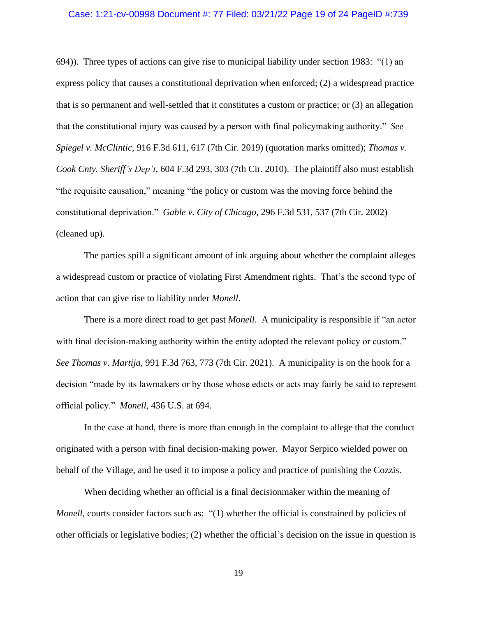#### Case: 1:21-cv-00998 Document #: 77 Filed: 03/21/22 Page 19 of 24 PageID #:739

694)). Three types of actions can give rise to municipal liability under section 1983: "(1) an express policy that causes a constitutional deprivation when enforced; (2) a widespread practice that is so permanent and well-settled that it constitutes a custom or practice; or (3) an allegation that the constitutional injury was caused by a person with final policymaking authority." *See Spiegel v. McClintic*, 916 F.3d 611, 617 (7th Cir. 2019) (quotation marks omitted); *Thomas v. Cook Cnty. Sheriff's Dep't*, 604 F.3d 293, 303 (7th Cir. 2010). The plaintiff also must establish "the requisite causation," meaning "the policy or custom was the moving force behind the constitutional deprivation." *Gable v. City of Chicago*, 296 F.3d 531, 537 (7th Cir. 2002) (cleaned up).

The parties spill a significant amount of ink arguing about whether the complaint alleges a widespread custom or practice of violating First Amendment rights. That's the second type of action that can give rise to liability under *Monell*.

There is a more direct road to get past *Monell*. A municipality is responsible if "an actor with final decision-making authority within the entity adopted the relevant policy or custom." *See Thomas v. Martija*, 991 F.3d 763, 773 (7th Cir. 2021). A municipality is on the hook for a decision "made by its lawmakers or by those whose edicts or acts may fairly be said to represent official policy." *Monell*, 436 U.S. at 694.

In the case at hand, there is more than enough in the complaint to allege that the conduct originated with a person with final decision-making power. Mayor Serpico wielded power on behalf of the Village, and he used it to impose a policy and practice of punishing the Cozzis.

When deciding whether an official is a final decisionmaker within the meaning of *Monell*, courts consider factors such as: "(1) whether the official is constrained by policies of other officials or legislative bodies; (2) whether the official's decision on the issue in question is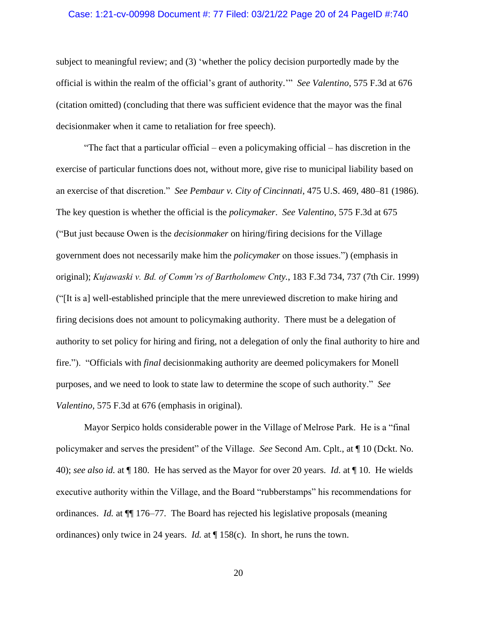#### Case: 1:21-cv-00998 Document #: 77 Filed: 03/21/22 Page 20 of 24 PageID #:740

subject to meaningful review; and (3) 'whether the policy decision purportedly made by the official is within the realm of the official's grant of authority.'" *See Valentino*, 575 F.3d at 676 (citation omitted) (concluding that there was sufficient evidence that the mayor was the final decisionmaker when it came to retaliation for free speech).

"The fact that a particular official – even a policymaking official – has discretion in the exercise of particular functions does not, without more, give rise to municipal liability based on an exercise of that discretion." *See Pembaur v. City of Cincinnati*, 475 U.S. 469, 480–81 (1986). The key question is whether the official is the *policymaker*. *See Valentino*, 575 F.3d at 675 ("But just because Owen is the *decisionmaker* on hiring/firing decisions for the Village government does not necessarily make him the *policymaker* on those issues.") (emphasis in original); *Kujawaski v. Bd. of Comm'rs of Bartholomew Cnty.*, 183 F.3d 734, 737 (7th Cir. 1999) ("[It is a] well-established principle that the mere unreviewed discretion to make hiring and firing decisions does not amount to policymaking authority. There must be a delegation of authority to set policy for hiring and firing, not a delegation of only the final authority to hire and fire."). "Officials with *final* decisionmaking authority are deemed policymakers for Monell purposes, and we need to look to state law to determine the scope of such authority." *See Valentino*, 575 F.3d at 676 (emphasis in original).

Mayor Serpico holds considerable power in the Village of Melrose Park. He is a "final policymaker and serves the president" of the Village. *See* Second Am. Cplt., at ¶ 10 (Dckt. No. 40); *see also id.* at ¶ 180. He has served as the Mayor for over 20 years. *Id.* at ¶ 10. He wields executive authority within the Village, and the Board "rubberstamps" his recommendations for ordinances. *Id.* at ¶¶ 176–77. The Board has rejected his legislative proposals (meaning ordinances) only twice in 24 years. *Id.* at ¶ 158(c). In short, he runs the town.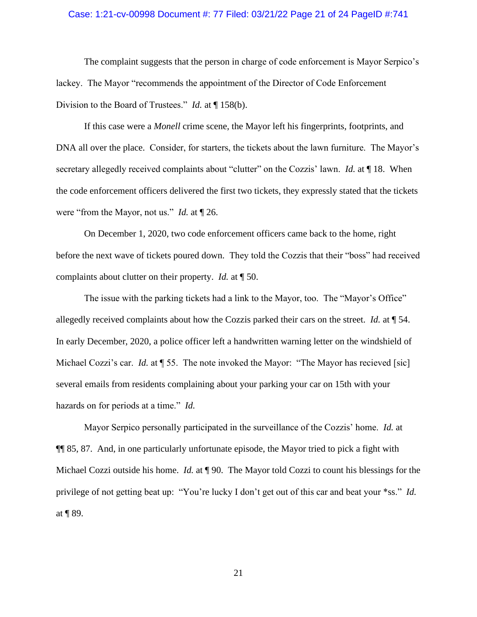### Case: 1:21-cv-00998 Document #: 77 Filed: 03/21/22 Page 21 of 24 PageID #:741

The complaint suggests that the person in charge of code enforcement is Mayor Serpico's lackey. The Mayor "recommends the appointment of the Director of Code Enforcement Division to the Board of Trustees." *Id.* at ¶ 158(b).

If this case were a *Monell* crime scene, the Mayor left his fingerprints, footprints, and DNA all over the place. Consider, for starters, the tickets about the lawn furniture. The Mayor's secretary allegedly received complaints about "clutter" on the Cozzis' lawn. *Id.* at ¶ 18. When the code enforcement officers delivered the first two tickets, they expressly stated that the tickets were "from the Mayor, not us." *Id.* at ¶ 26.

On December 1, 2020, two code enforcement officers came back to the home, right before the next wave of tickets poured down. They told the Cozzis that their "boss" had received complaints about clutter on their property. *Id.* at ¶ 50.

The issue with the parking tickets had a link to the Mayor, too. The "Mayor's Office" allegedly received complaints about how the Cozzis parked their cars on the street. *Id.* at ¶ 54. In early December, 2020, a police officer left a handwritten warning letter on the windshield of Michael Cozzi's car. *Id.* at  $\llbracket$  55. The note invoked the Mayor: "The Mayor has recieved [sic] several emails from residents complaining about your parking your car on 15th with your hazards on for periods at a time." *Id.*

Mayor Serpico personally participated in the surveillance of the Cozzis' home. *Id.* at ¶¶ 85, 87. And, in one particularly unfortunate episode, the Mayor tried to pick a fight with Michael Cozzi outside his home. *Id.* at ¶ 90. The Mayor told Cozzi to count his blessings for the privilege of not getting beat up: "You're lucky I don't get out of this car and beat your \*ss." *Id.* at ¶ 89.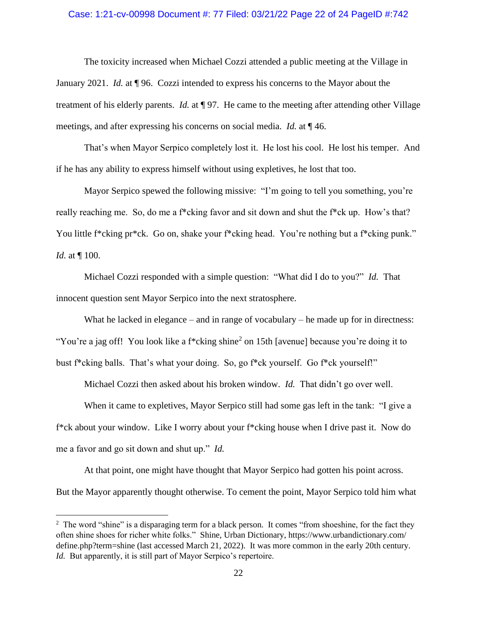### Case: 1:21-cv-00998 Document #: 77 Filed: 03/21/22 Page 22 of 24 PageID #:742

The toxicity increased when Michael Cozzi attended a public meeting at the Village in January 2021. *Id.* at ¶ 96. Cozzi intended to express his concerns to the Mayor about the treatment of his elderly parents. *Id.* at ¶ 97. He came to the meeting after attending other Village meetings, and after expressing his concerns on social media. *Id.* at ¶ 46.

That's when Mayor Serpico completely lost it. He lost his cool. He lost his temper. And if he has any ability to express himself without using expletives, he lost that too.

Mayor Serpico spewed the following missive: "I'm going to tell you something, you're really reaching me. So, do me a f\*cking favor and sit down and shut the f\*ck up. How's that? You little f\*cking pr\*ck. Go on, shake your f\*cking head. You're nothing but a f\*cking punk." *Id.* at ¶ 100.

Michael Cozzi responded with a simple question: "What did I do to you?" *Id.* That innocent question sent Mayor Serpico into the next stratosphere.

What he lacked in elegance – and in range of vocabulary – he made up for in directness: "You're a jag off! You look like a f\*cking shine<sup>2</sup> on 15th [avenue] because you're doing it to bust f\*cking balls. That's what your doing. So, go f\*ck yourself. Go f\*ck yourself!"

Michael Cozzi then asked about his broken window. *Id.* That didn't go over well.

When it came to expletives, Mayor Serpico still had some gas left in the tank: "I give a f\*ck about your window. Like I worry about your f\*cking house when I drive past it. Now do me a favor and go sit down and shut up." *Id.*

At that point, one might have thought that Mayor Serpico had gotten his point across. But the Mayor apparently thought otherwise. To cement the point, Mayor Serpico told him what

 $2$  The word "shine" is a disparaging term for a black person. It comes "from shoeshine, for the fact they often shine shoes for richer white folks." Shine, Urban Dictionary, https://www.urbandictionary.com/ define.php?term=shine (last accessed March 21, 2022). It was more common in the early 20th century. *Id.* But apparently, it is still part of Mayor Serpico's repertoire.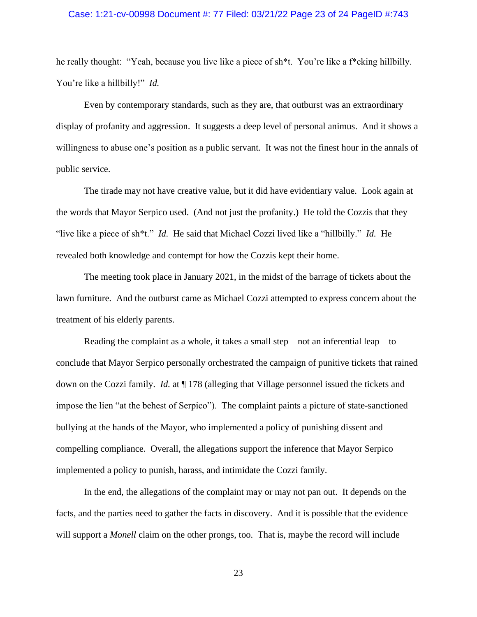### Case: 1:21-cv-00998 Document #: 77 Filed: 03/21/22 Page 23 of 24 PageID #:743

he really thought: "Yeah, because you live like a piece of sh\*t. You're like a f\*cking hillbilly. You're like a hillbilly!" *Id.* 

Even by contemporary standards, such as they are, that outburst was an extraordinary display of profanity and aggression. It suggests a deep level of personal animus. And it shows a willingness to abuse one's position as a public servant. It was not the finest hour in the annals of public service.

The tirade may not have creative value, but it did have evidentiary value. Look again at the words that Mayor Serpico used. (And not just the profanity.) He told the Cozzis that they "live like a piece of sh\*t." *Id.* He said that Michael Cozzi lived like a "hillbilly." *Id.* He revealed both knowledge and contempt for how the Cozzis kept their home.

The meeting took place in January 2021, in the midst of the barrage of tickets about the lawn furniture. And the outburst came as Michael Cozzi attempted to express concern about the treatment of his elderly parents.

Reading the complaint as a whole, it takes a small step – not an inferential leap – to conclude that Mayor Serpico personally orchestrated the campaign of punitive tickets that rained down on the Cozzi family. *Id.* at ¶ 178 (alleging that Village personnel issued the tickets and impose the lien "at the behest of Serpico"). The complaint paints a picture of state-sanctioned bullying at the hands of the Mayor, who implemented a policy of punishing dissent and compelling compliance. Overall, the allegations support the inference that Mayor Serpico implemented a policy to punish, harass, and intimidate the Cozzi family.

In the end, the allegations of the complaint may or may not pan out. It depends on the facts, and the parties need to gather the facts in discovery. And it is possible that the evidence will support a *Monell* claim on the other prongs, too. That is, maybe the record will include